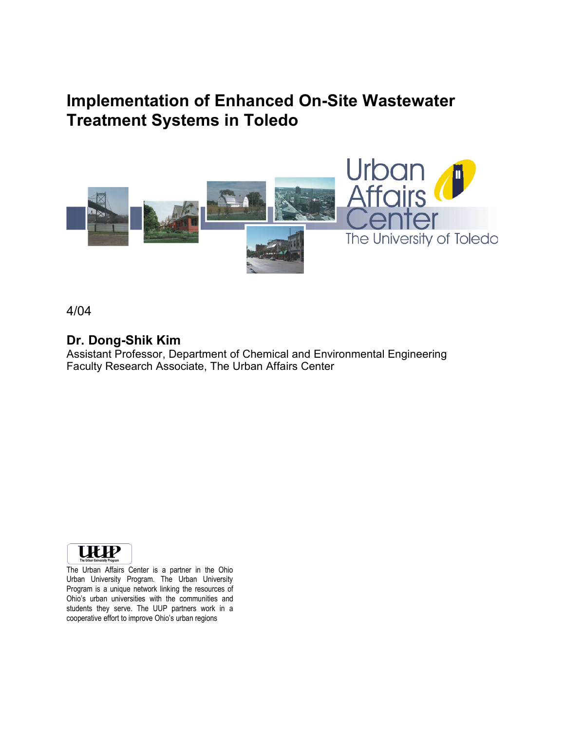# **Implementation of Enhanced On-Site Wastewater Treatment Systems in Toledo**



4/04

### **Dr. Dong-Shik Kim**

Assistant Professor, Department of Chemical and Environmental Engineering Faculty Research Associate, The Urban Affairs Center



The Urban Affairs Center is a partner in the Ohio Urban University Program. The Urban University Program is a unique network linking the resources of Ohio's urban universities with the communities and students they serve. The UUP partners work in a cooperative effort to improve Ohio's urban regions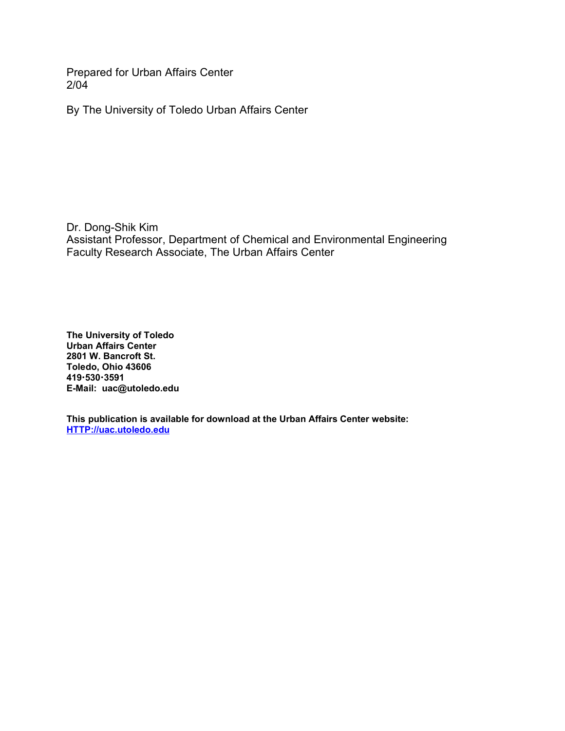Prepared for Urban Affairs Center 2/04

By The University of Toledo Urban Affairs Center

Dr. Dong-Shik Kim Assistant Professor, Department of Chemical and Environmental Engineering Faculty Research Associate, The Urban Affairs Center

**The University of Toledo Urban Affairs Center 2801 W. Bancroft St. Toledo, Ohio 43606 4195303591 E-Mail: uac@utoledo.edu**

**This publication is available for download at the Urban Affairs Center website: HTTP://uac.utoledo.edu**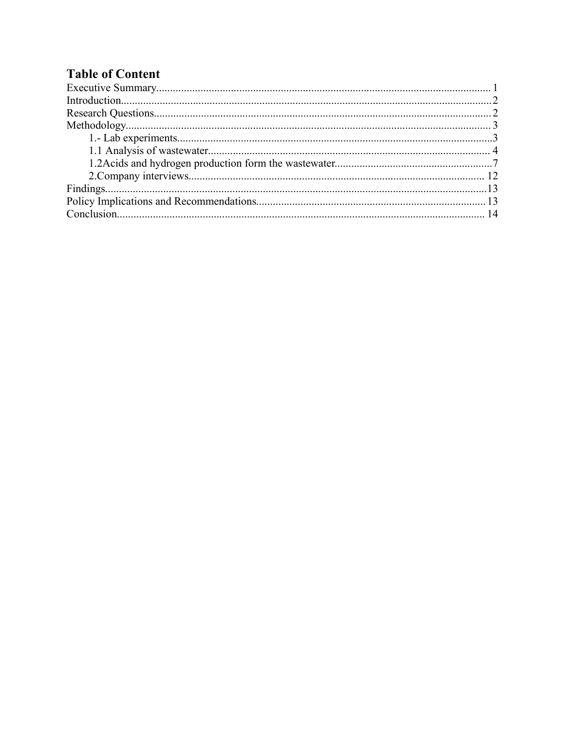### **Table of Content**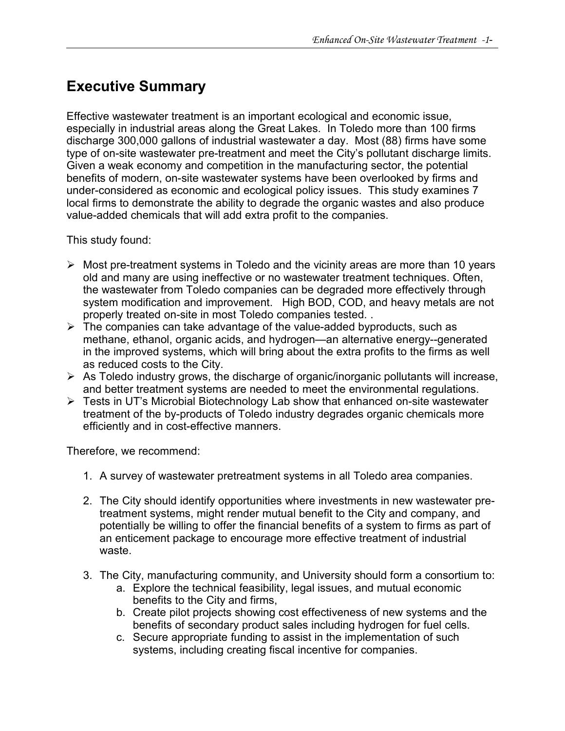# **Executive Summary**

Effective wastewater treatment is an important ecological and economic issue, especially in industrial areas along the Great Lakes. In Toledo more than 100 firms discharge 300,000 gallons of industrial wastewater a day. Most (88) firms have some type of on-site wastewater pre-treatment and meet the City's pollutant discharge limits. Given a weak economy and competition in the manufacturing sector, the potential benefits of modern, on-site wastewater systems have been overlooked by firms and under-considered as economic and ecological policy issues. This study examines 7 local firms to demonstrate the ability to degrade the organic wastes and also produce value-added chemicals that will add extra profit to the companies.

This study found:

- $\triangleright$  Most pre-treatment systems in Toledo and the vicinity areas are more than 10 years old and many are using ineffective or no wastewater treatment techniques. Often, the wastewater from Toledo companies can be degraded more effectively through system modification and improvement. High BOD, COD, and heavy metals are not properly treated on-site in most Toledo companies tested. .
- $\triangleright$  The companies can take advantage of the value-added byproducts, such as methane, ethanol, organic acids, and hydrogen—an alternative energy--generated in the improved systems, which will bring about the extra profits to the firms as well as reduced costs to the City.
- $\triangleright$  As Toledo industry grows, the discharge of organic/inorganic pollutants will increase, and better treatment systems are needed to meet the environmental regulations.
- Tests in UT's Microbial Biotechnology Lab show that enhanced on-site wastewater treatment of the by-products of Toledo industry degrades organic chemicals more efficiently and in cost-effective manners.

Therefore, we recommend:

- 1. A survey of wastewater pretreatment systems in all Toledo area companies.
- 2. The City should identify opportunities where investments in new wastewater pretreatment systems, might render mutual benefit to the City and company, and potentially be willing to offer the financial benefits of a system to firms as part of an enticement package to encourage more effective treatment of industrial waste.
- 3. The City, manufacturing community, and University should form a consortium to:
	- a. Explore the technical feasibility, legal issues, and mutual economic benefits to the City and firms,
	- b. Create pilot projects showing cost effectiveness of new systems and the benefits of secondary product sales including hydrogen for fuel cells.
	- c. Secure appropriate funding to assist in the implementation of such systems, including creating fiscal incentive for companies.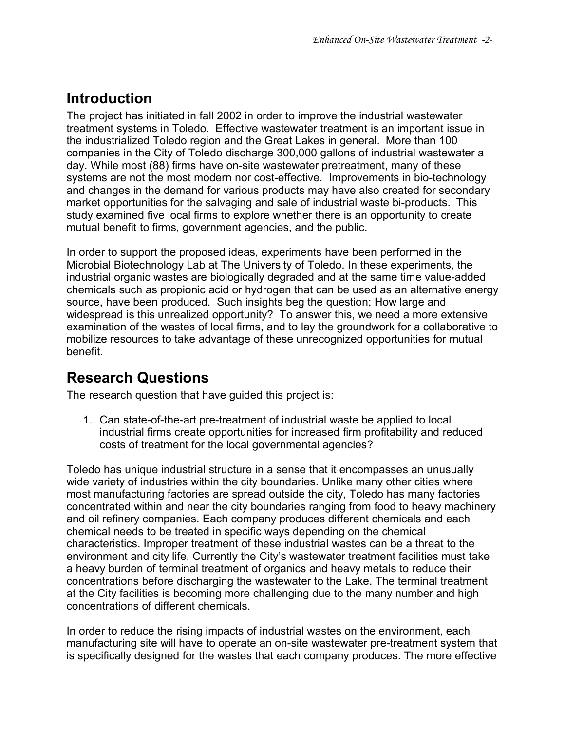# **Introduction**

The project has initiated in fall 2002 in order to improve the industrial wastewater treatment systems in Toledo. Effective wastewater treatment is an important issue in the industrialized Toledo region and the Great Lakes in general. More than 100 companies in the City of Toledo discharge 300,000 gallons of industrial wastewater a day. While most (88) firms have on-site wastewater pretreatment, many of these systems are not the most modern nor cost-effective. Improvements in bio-technology and changes in the demand for various products may have also created for secondary market opportunities for the salvaging and sale of industrial waste bi-products. This study examined five local firms to explore whether there is an opportunity to create mutual benefit to firms, government agencies, and the public.

In order to support the proposed ideas, experiments have been performed in the Microbial Biotechnology Lab at The University of Toledo. In these experiments, the industrial organic wastes are biologically degraded and at the same time value-added chemicals such as propionic acid or hydrogen that can be used as an alternative energy source, have been produced. Such insights beg the question; How large and widespread is this unrealized opportunity? To answer this, we need a more extensive examination of the wastes of local firms, and to lay the groundwork for a collaborative to mobilize resources to take advantage of these unrecognized opportunities for mutual benefit.

## **Research Questions**

The research question that have guided this project is:

1. Can state-of-the-art pre-treatment of industrial waste be applied to local industrial firms create opportunities for increased firm profitability and reduced costs of treatment for the local governmental agencies?

Toledo has unique industrial structure in a sense that it encompasses an unusually wide variety of industries within the city boundaries. Unlike many other cities where most manufacturing factories are spread outside the city, Toledo has many factories concentrated within and near the city boundaries ranging from food to heavy machinery and oil refinery companies. Each company produces different chemicals and each chemical needs to be treated in specific ways depending on the chemical characteristics. Improper treatment of these industrial wastes can be a threat to the environment and city life. Currently the City's wastewater treatment facilities must take a heavy burden of terminal treatment of organics and heavy metals to reduce their concentrations before discharging the wastewater to the Lake. The terminal treatment at the City facilities is becoming more challenging due to the many number and high concentrations of different chemicals.

In order to reduce the rising impacts of industrial wastes on the environment, each manufacturing site will have to operate an on-site wastewater pre-treatment system that is specifically designed for the wastes that each company produces. The more effective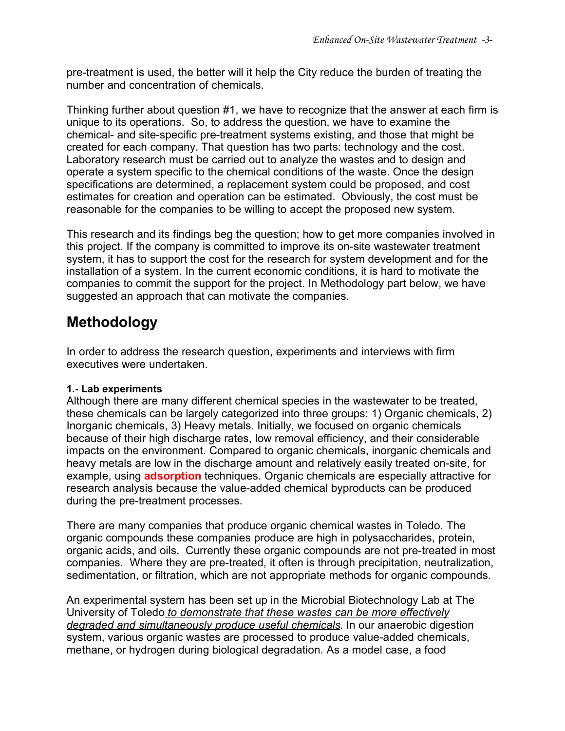pre-treatment is used, the better will it help the City reduce the burden of treating the number and concentration of chemicals.

Thinking further about question #1, we have to recognize that the answer at each firm is unique to its operations. So, to address the question, we have to examine the chemical- and site-specific pre-treatment systems existing, and those that might be created for each company. That question has two parts: technology and the cost. Laboratory research must be carried out to analyze the wastes and to design and operate a system specific to the chemical conditions of the waste. Once the design specifications are determined, a replacement system could be proposed, and cost estimates for creation and operation can be estimated. Obviously, the cost must be reasonable for the companies to be willing to accept the proposed new system.

This research and its findings beg the question; how to get more companies involved in this project. If the company is committed to improve its on-site wastewater treatment system, it has to support the cost for the research for system development and for the installation of a system. In the current economic conditions, it is hard to motivate the companies to commit the support for the project. In Methodology part below, we have suggested an approach that can motivate the companies.

# **Methodology**

In order to address the research question, experiments and interviews with firm executives were undertaken.

### **1.- Lab experiments**

Although there are many different chemical species in the wastewater to be treated, these chemicals can be largely categorized into three groups: 1) Organic chemicals, 2) Inorganic chemicals, 3) Heavy metals. Initially, we focused on organic chemicals because of their high discharge rates, low removal efficiency, and their considerable impacts on the environment. Compared to organic chemicals, inorganic chemicals and heavy metals are low in the discharge amount and relatively easily treated on-site, for example, using **adsorption** techniques. Organic chemicals are especially attractive for research analysis because the value-added chemical byproducts can be produced during the pre-treatment processes.

There are many companies that produce organic chemical wastes in Toledo. The organic compounds these companies produce are high in polysaccharides, protein, organic acids, and oils. Currently these organic compounds are not pre-treated in most companies. Where they are pre-treated, it often is through precipitation, neutralization, sedimentation, or filtration, which are not appropriate methods for organic compounds.

An experimental system has been set up in the Microbial Biotechnology Lab at The University of Toledo *to demonstrate that these wastes can be more effectively degraded and simultaneously produce useful chemicals*. In our anaerobic digestion system, various organic wastes are processed to produce value-added chemicals, methane, or hydrogen during biological degradation. As a model case, a food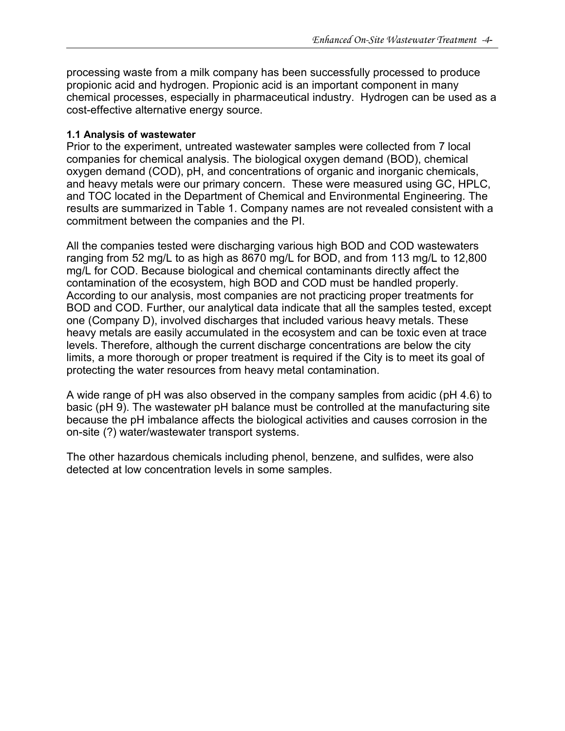processing waste from a milk company has been successfully processed to produce propionic acid and hydrogen. Propionic acid is an important component in many chemical processes, especially in pharmaceutical industry. Hydrogen can be used as a cost-effective alternative energy source.

#### **1.1 Analysis of wastewater**

Prior to the experiment, untreated wastewater samples were collected from 7 local companies for chemical analysis. The biological oxygen demand (BOD), chemical oxygen demand (COD), pH, and concentrations of organic and inorganic chemicals, and heavy metals were our primary concern. These were measured using GC, HPLC, and TOC located in the Department of Chemical and Environmental Engineering. The results are summarized in Table 1. Company names are not revealed consistent with a commitment between the companies and the PI.

All the companies tested were discharging various high BOD and COD wastewaters ranging from 52 mg/L to as high as 8670 mg/L for BOD, and from 113 mg/L to 12,800 mg/L for COD. Because biological and chemical contaminants directly affect the contamination of the ecosystem, high BOD and COD must be handled properly. According to our analysis, most companies are not practicing proper treatments for BOD and COD. Further, our analytical data indicate that all the samples tested, except one (Company D), involved discharges that included various heavy metals. These heavy metals are easily accumulated in the ecosystem and can be toxic even at trace levels. Therefore, although the current discharge concentrations are below the city limits, a more thorough or proper treatment is required if the City is to meet its goal of protecting the water resources from heavy metal contamination.

A wide range of pH was also observed in the company samples from acidic (pH 4.6) to basic (pH 9). The wastewater pH balance must be controlled at the manufacturing site because the pH imbalance affects the biological activities and causes corrosion in the on-site (?) water/wastewater transport systems.

The other hazardous chemicals including phenol, benzene, and sulfides, were also detected at low concentration levels in some samples.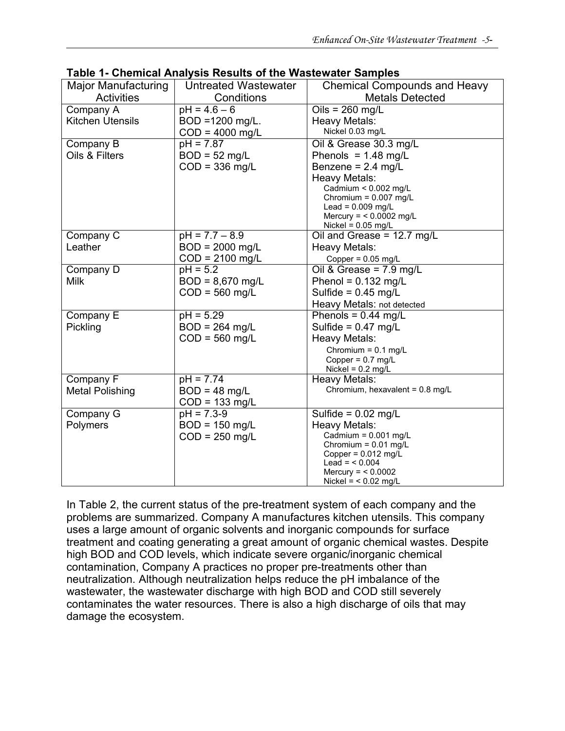| <b>Major Manufacturing</b> | <b>Untreated Wastewater</b> | <b>Chemical Compounds and Heavy</b>                     |
|----------------------------|-----------------------------|---------------------------------------------------------|
| <b>Activities</b>          | Conditions                  | <b>Metals Detected</b>                                  |
| Company A                  | $pH = 4.6 - 6$              | Oils = $260$ mg/L                                       |
| <b>Kitchen Utensils</b>    | BOD =1200 mg/L.             | <b>Heavy Metals:</b>                                    |
|                            | $COD = 4000$ mg/L           | Nickel 0.03 mg/L                                        |
| Company B                  | $pH = 7.87$                 | Oil & Grease 30.3 mg/L                                  |
| Oils & Filters             | $BOD = 52$ mg/L             | Phenols = $1.48$ mg/L                                   |
|                            | $COD = 336$ mg/L            | Benzene = $2.4$ mg/L                                    |
|                            |                             | Heavy Metals:                                           |
|                            |                             | Cadmium < $0.002$ mg/L                                  |
|                            |                             | Chromium = $0.007$ mg/L                                 |
|                            |                             | Lead = $0.009$ mg/L<br>Mercury = $< 0.0002$ mg/L        |
|                            |                             | Nickel = $0.05$ mg/L                                    |
| Company C                  | $pH = 7.7 - 8.9$            | Oil and Grease = 12.7 mg/L                              |
| Leather                    | $BOD = 2000$ mg/L           | Heavy Metals:                                           |
|                            | $COD = 2100$ mg/L           | Copper = $0.05$ mg/L                                    |
| Company D                  | $pH = 5.2$                  | Oil & Grease = $7.9$ mg/L                               |
| <b>Milk</b>                | $BOD = 8,670$ mg/L          | Phenol = $0.132$ mg/L                                   |
|                            | $COD = 560$ mg/L            | Sulfide = $0.45$ mg/L                                   |
|                            |                             | Heavy Metals: not detected                              |
| Company E                  | $pH = 5.29$                 | Phenols = $0.44$ mg/L                                   |
| Pickling                   | $BOD = 264$ mg/L            | Sulfide = $0.47$ mg/L                                   |
|                            | $COD = 560$ mg/L            | Heavy Metals:                                           |
|                            |                             | Chromium = $0.1$ mg/L                                   |
|                            |                             | Copper = $0.7$ mg/L                                     |
|                            |                             | Nickel = $0.2$ mg/L                                     |
| Company F                  | $pH = 7.74$                 | <b>Heavy Metals:</b><br>Chromium, hexavalent = 0.8 mg/L |
| <b>Metal Polishing</b>     | $BOD = 48$ mg/L             |                                                         |
|                            | $COD = 133$ mg/L            |                                                         |
| Company G                  | $pH = 7.3 - 9$              | Sulfide = $0.02$ mg/L                                   |
| Polymers                   | $BOD = 150$ mg/L            | Heavy Metals:                                           |
|                            | $COD = 250$ mg/L            | Cadmium = $0.001$ mg/L<br>Chromium = $0.01$ mg/L        |
|                            |                             | Copper = $0.012$ mg/L                                   |
|                            |                             | $Lead = < 0.004$                                        |
|                            |                             | Mercury = $< 0.0002$                                    |
|                            |                             | Nickel = $< 0.02$ mg/L                                  |

|  |  | Table 1- Chemical Analysis Results of the Wastewater Samples |  |
|--|--|--------------------------------------------------------------|--|
|  |  |                                                              |  |

In Table 2, the current status of the pre-treatment system of each company and the problems are summarized. Company A manufactures kitchen utensils. This company uses a large amount of organic solvents and inorganic compounds for surface treatment and coating generating a great amount of organic chemical wastes. Despite high BOD and COD levels, which indicate severe organic/inorganic chemical contamination, Company A practices no proper pre-treatments other than neutralization. Although neutralization helps reduce the pH imbalance of the wastewater, the wastewater discharge with high BOD and COD still severely contaminates the water resources. There is also a high discharge of oils that may damage the ecosystem.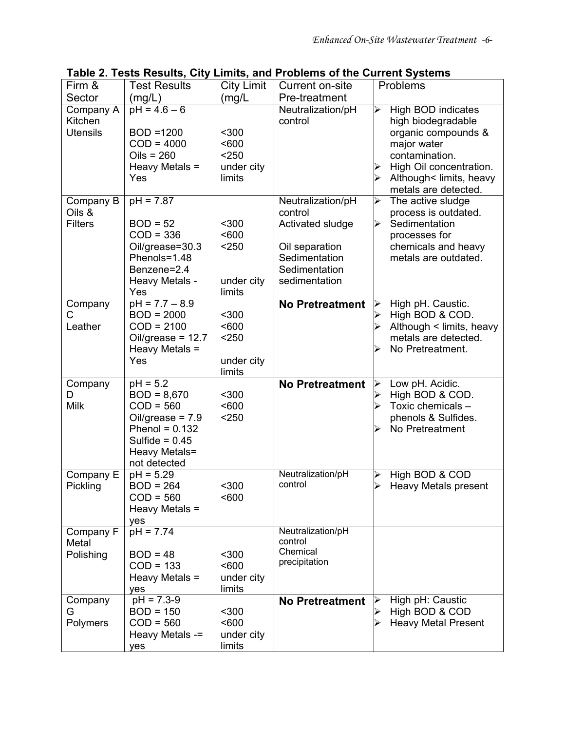| Firm &                                  | <b>Test Results</b>                                                                                                                       | <b>City Limit</b>                               | Current on-site                                                                                                       | Problems                                                                                                                                                                            |
|-----------------------------------------|-------------------------------------------------------------------------------------------------------------------------------------------|-------------------------------------------------|-----------------------------------------------------------------------------------------------------------------------|-------------------------------------------------------------------------------------------------------------------------------------------------------------------------------------|
| Sector                                  | (mg/L)                                                                                                                                    | (mg/L                                           | Pre-treatment                                                                                                         |                                                                                                                                                                                     |
| Company A<br>Kitchen<br><b>Utensils</b> | $pH = 4.6 - 6$<br>BOD =1200<br>$COD = 4000$<br>Oils = $260$<br>Heavy Metals =<br>Yes                                                      | $300$<br>< 600<br>$250$<br>under city<br>limits | Neutralization/pH<br>control                                                                                          | High BOD indicates<br>⊳<br>high biodegradable<br>organic compounds &<br>major water<br>contamination.<br>High Oil concentration.<br>Although< limits, heavy<br>metals are detected. |
| Company B<br>Oils &<br><b>Filters</b>   | $pH = 7.87$<br>$BOD = 52$<br>$COD = 336$<br>Oil/grease=30.3<br>Phenols=1.48<br>Benzene=2.4<br>Heavy Metals -<br>Yes                       | $300$<br>< 600<br>< 250<br>under city<br>limits | Neutralization/pH<br>control<br>Activated sludge<br>Oil separation<br>Sedimentation<br>Sedimentation<br>sedimentation | The active sludge<br>➢<br>process is outdated.<br>Sedimentation<br>⋗<br>processes for<br>chemicals and heavy<br>metals are outdated.                                                |
| Company<br>С<br>Leather                 | $pH = 7.7 - 8.9$<br>$BOD = 2000$<br>$COD = 2100$<br>Oil/grease = $12.7$<br>Heavy Metals =<br>Yes                                          | $300$<br>< 600<br>< 250<br>under city<br>limits | <b>No Pretreatment</b>                                                                                                | High pH. Caustic.<br>⋗<br>High BOD & COD.<br>Although < limits, heavy<br>metals are detected.<br>No Pretreatment.                                                                   |
| Company<br>D<br><b>Milk</b>             | $pH = 5.2$<br>$BOD = 8,670$<br>$COD = 560$<br>Oil/grease = $7.9$<br>Phenol = $0.132$<br>Sulfide = $0.45$<br>Heavy Metals=<br>not detected | $300$<br>< 600<br>< 250                         | <b>No Pretreatment</b>                                                                                                | Low pH. Acidic.<br>⋗<br>High BOD & COD.<br>Toxic chemicals -<br>phenols & Sulfides.<br>No Pretreatment                                                                              |
| Company E<br>Pickling                   | $pH = 5.29$<br>$BOD = 264$<br>$COD = 560$<br>Heavy Metals =<br>yes                                                                        | $300$<br>< 600                                  | Neutralization/pH<br>control                                                                                          | High BOD & COD<br>➢<br><b>Heavy Metals present</b>                                                                                                                                  |
| Company F<br>Metal<br>Polishing         | $pH = 7.\overline{74}$<br>$BOD = 48$<br>$COD = 133$<br>Heavy Metals =<br>yes                                                              | $300$<br><600<br>under city<br>limits           | Neutralization/pH<br>control<br>Chemical<br>precipitation                                                             |                                                                                                                                                                                     |
| Company<br>G<br>Polymers                | $pH = 7.3 - 9$<br>$BOD = 150$<br>$COD = 560$<br>Heavy Metals -=<br>yes                                                                    | $300$<br><600<br>under city<br>limits           | <b>No Pretreatment</b>                                                                                                | High pH: Caustic<br>High BOD & COD<br><b>Heavy Metal Present</b>                                                                                                                    |

| Table 2. Tests Results, City Limits, and Problems of the Current Systems |  |  |  |  |
|--------------------------------------------------------------------------|--|--|--|--|
|--------------------------------------------------------------------------|--|--|--|--|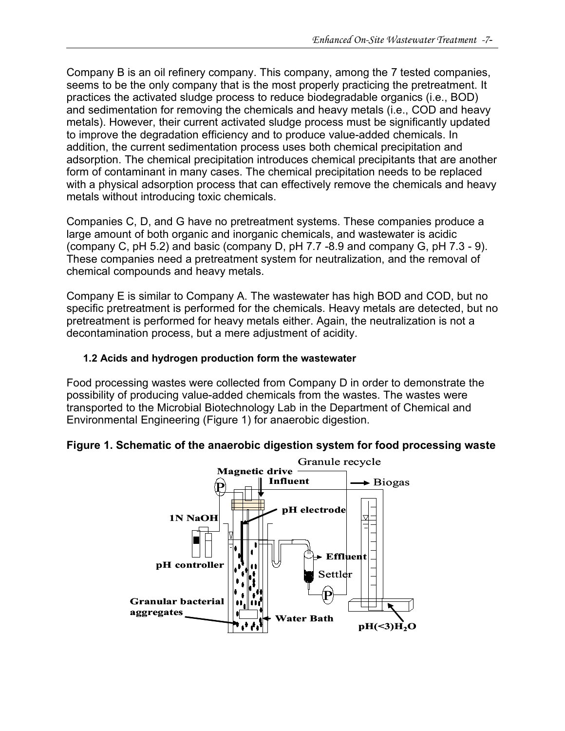Company B is an oil refinery company. This company, among the 7 tested companies, seems to be the only company that is the most properly practicing the pretreatment. It practices the activated sludge process to reduce biodegradable organics (i.e., BOD) and sedimentation for removing the chemicals and heavy metals (i.e., COD and heavy metals). However, their current activated sludge process must be significantly updated to improve the degradation efficiency and to produce value-added chemicals. In addition, the current sedimentation process uses both chemical precipitation and adsorption. The chemical precipitation introduces chemical precipitants that are another form of contaminant in many cases. The chemical precipitation needs to be replaced with a physical adsorption process that can effectively remove the chemicals and heavy metals without introducing toxic chemicals.

Companies C, D, and G have no pretreatment systems. These companies produce a large amount of both organic and inorganic chemicals, and wastewater is acidic (company C, pH 5.2) and basic (company D, pH 7.7 -8.9 and company G, pH 7.3 - 9). These companies need a pretreatment system for neutralization, and the removal of chemical compounds and heavy metals.

Company E is similar to Company A. The wastewater has high BOD and COD, but no specific pretreatment is performed for the chemicals. Heavy metals are detected, but no pretreatment is performed for heavy metals either. Again, the neutralization is not a decontamination process, but a mere adjustment of acidity.

#### **1.2 Acids and hydrogen production form the wastewater**

Food processing wastes were collected from Company D in order to demonstrate the possibility of producing value-added chemicals from the wastes. The wastes were transported to the Microbial Biotechnology Lab in the Department of Chemical and Environmental Engineering (Figure 1) for anaerobic digestion.

### **Figure 1. Schematic of the anaerobic digestion system for food processing waste**

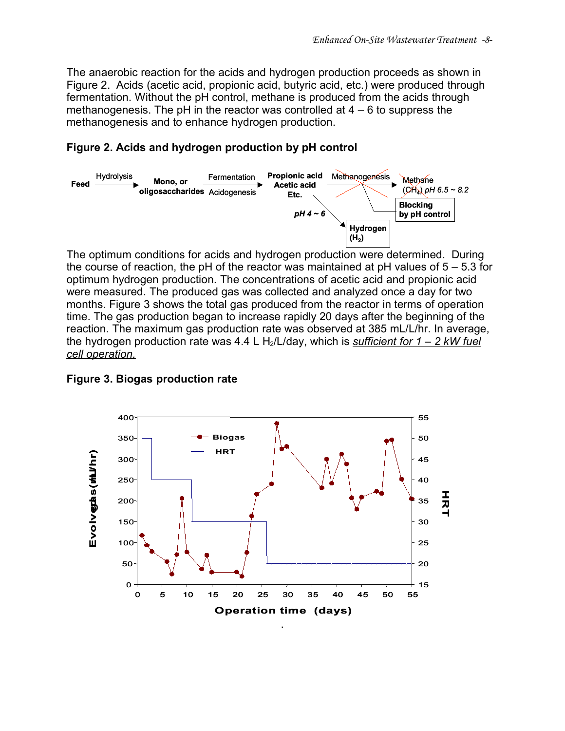The anaerobic reaction for the acids and hydrogen production proceeds as shown in Figure 2. Acids (acetic acid, propionic acid, butyric acid, etc.) were produced through fermentation. Without the pH control, methane is produced from the acids through methanogenesis. The pH in the reactor was controlled at  $4 - 6$  to suppress the methanogenesis and to enhance hydrogen production.

### **Figure 2. Acids and hydrogen production by pH control**



The optimum conditions for acids and hydrogen production were determined. During the course of reaction, the pH of the reactor was maintained at pH values of  $5 - 5.3$  for optimum hydrogen production. The concentrations of acetic acid and propionic acid were measured. The produced gas was collected and analyzed once a day for two months. Figure 3 shows the total gas produced from the reactor in terms of operation time. The gas production began to increase rapidly 20 days after the beginning of the reaction. The maximum gas production rate was observed at 385 mL/L/hr. In average, the hydrogen production rate was 4.4 L H<sub>2</sub>/L/day, which is *sufficient for 1 – 2 kW fuel cell operation.* 



**Figure 3. Biogas production rate**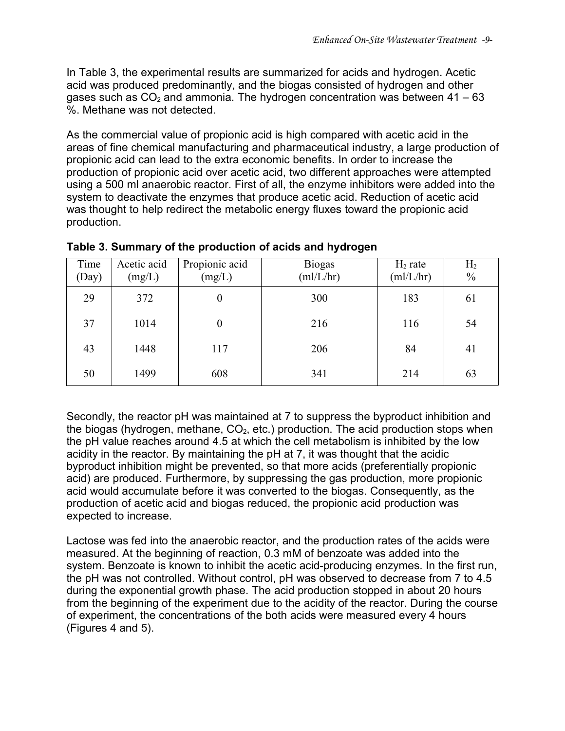In Table 3, the experimental results are summarized for acids and hydrogen. Acetic acid was produced predominantly, and the biogas consisted of hydrogen and other gases such as  $CO<sub>2</sub>$  and ammonia. The hydrogen concentration was between 41 – 63 %. Methane was not detected.

As the commercial value of propionic acid is high compared with acetic acid in the areas of fine chemical manufacturing and pharmaceutical industry, a large production of propionic acid can lead to the extra economic benefits. In order to increase the production of propionic acid over acetic acid, two different approaches were attempted using a 500 ml anaerobic reactor. First of all, the enzyme inhibitors were added into the system to deactivate the enzymes that produce acetic acid. Reduction of acetic acid was thought to help redirect the metabolic energy fluxes toward the propionic acid production.

| Time<br>(Day) | Acetic acid<br>(mg/L) | Propionic acid<br>(mg/L) | <b>Biogas</b><br>(mI/L/hr) | $H_2$ rate<br>(ml/L/hr) | H <sub>2</sub><br>$\frac{0}{0}$ |
|---------------|-----------------------|--------------------------|----------------------------|-------------------------|---------------------------------|
| 29            | 372                   | $\boldsymbol{0}$         | 300                        | 183                     | 61                              |
| 37            | 1014                  | $\boldsymbol{0}$         | 216                        | 116                     | 54                              |
| 43            | 1448                  | 117                      | 206                        | 84                      | 41                              |
| 50            | 1499                  | 608                      | 341                        | 214                     | 63                              |

#### **Table 3. Summary of the production of acids and hydrogen**

Secondly, the reactor pH was maintained at 7 to suppress the byproduct inhibition and the biogas (hydrogen, methane,  $CO<sub>2</sub>$ , etc.) production. The acid production stops when the pH value reaches around 4.5 at which the cell metabolism is inhibited by the low acidity in the reactor. By maintaining the pH at 7, it was thought that the acidic byproduct inhibition might be prevented, so that more acids (preferentially propionic acid) are produced. Furthermore, by suppressing the gas production, more propionic acid would accumulate before it was converted to the biogas. Consequently, as the production of acetic acid and biogas reduced, the propionic acid production was expected to increase.

Lactose was fed into the anaerobic reactor, and the production rates of the acids were measured. At the beginning of reaction, 0.3 mM of benzoate was added into the system. Benzoate is known to inhibit the acetic acid-producing enzymes. In the first run, the pH was not controlled. Without control, pH was observed to decrease from 7 to 4.5 during the exponential growth phase. The acid production stopped in about 20 hours from the beginning of the experiment due to the acidity of the reactor. During the course of experiment, the concentrations of the both acids were measured every 4 hours (Figures 4 and 5).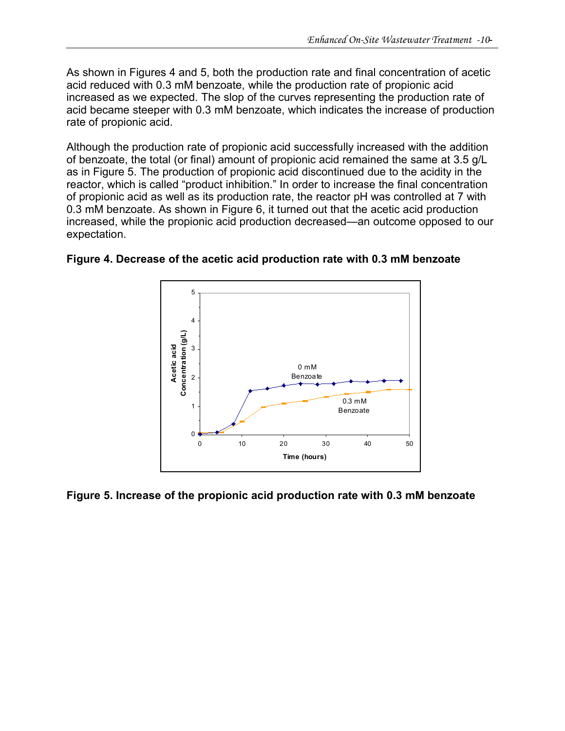As shown in Figures 4 and 5, both the production rate and final concentration of acetic acid reduced with 0.3 mM benzoate, while the production rate of propionic acid increased as we expected. The slop of the curves representing the production rate of acid became steeper with 0.3 mM benzoate, which indicates the increase of production rate of propionic acid.

Although the production rate of propionic acid successfully increased with the addition of benzoate, the total (or final) amount of propionic acid remained the same at 3.5 g/L as in Figure 5. The production of propionic acid discontinued due to the acidity in the reactor, which is called "product inhibition." In order to increase the final concentration of propionic acid as well as its production rate, the reactor pH was controlled at 7 with 0.3 mM benzoate. As shown in Figure 6, it turned out that the acetic acid production increased, while the propionic acid production decreased—an outcome opposed to our expectation.



**Figure 4. Decrease of the acetic acid production rate with 0.3 mM benzoate**

**Figure 5. Increase of the propionic acid production rate with 0.3 mM benzoate**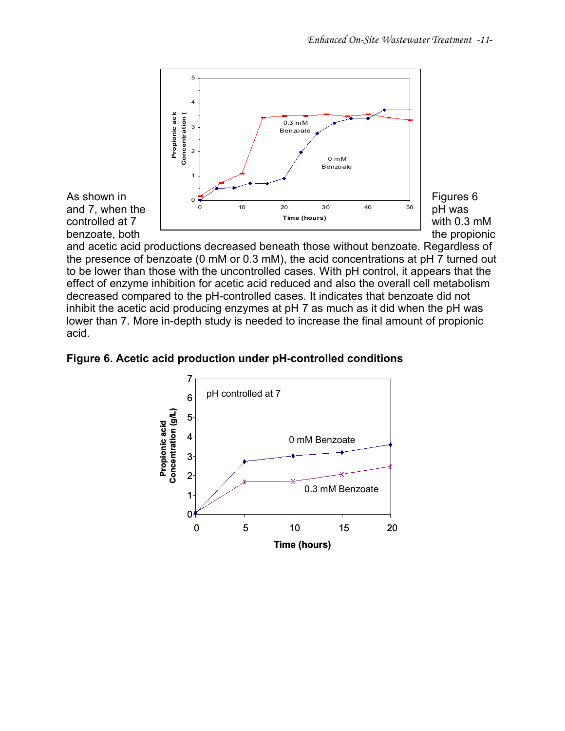

and acetic acid productions decreased beneath those without benzoate. Regardless of the presence of benzoate (0 mM or 0.3 mM), the acid concentrations at pH 7 turned out to be lower than those with the uncontrolled cases. With pH control, it appears that the effect of enzyme inhibition for acetic acid reduced and also the overall cell metabolism decreased compared to the pH-controlled cases. It indicates that benzoate did not inhibit the acetic acid producing enzymes at pH 7 as much as it did when the pH was lower than 7. More in-depth study is needed to increase the final amount of propionic acid.

**Figure 6. Acetic acid production under pH-controlled conditions**

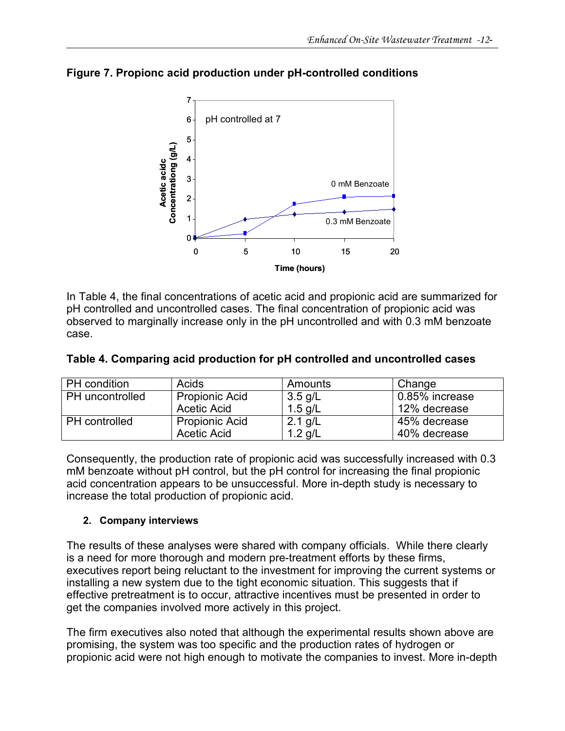

### **Figure 7. Propionc acid production under pH-controlled conditions**

In Table 4, the final concentrations of acetic acid and propionic acid are summarized for pH controlled and uncontrolled cases. The final concentration of propionic acid was observed to marginally increase only in the pH uncontrolled and with 0.3 mM benzoate case.

|  |  |  |  | Table 4. Comparing acid production for pH controlled and uncontrolled cases |
|--|--|--|--|-----------------------------------------------------------------------------|
|--|--|--|--|-----------------------------------------------------------------------------|

| PH condition         | Acids                 | Amounts   | Change         |
|----------------------|-----------------------|-----------|----------------|
| PH uncontrolled      | <b>Propionic Acid</b> | $3.5$ g/L | 0.85% increase |
|                      | Acetic Acid           | $1.5$ g/L | 12% decrease   |
| <b>PH</b> controlled | <b>Propionic Acid</b> | 2.1 $g/L$ | 45% decrease   |
|                      | Acetic Acid           | 1.2 g/L   | 40% decrease   |

Consequently, the production rate of propionic acid was successfully increased with 0.3 mM benzoate without pH control, but the pH control for increasing the final propionic acid concentration appears to be unsuccessful. More in-depth study is necessary to increase the total production of propionic acid.

#### **2. Company interviews**

The results of these analyses were shared with company officials. While there clearly is a need for more thorough and modern pre-treatment efforts by these firms, executives report being reluctant to the investment for improving the current systems or installing a new system due to the tight economic situation. This suggests that if effective pretreatment is to occur, attractive incentives must be presented in order to get the companies involved more actively in this project.

The firm executives also noted that although the experimental results shown above are promising, the system was too specific and the production rates of hydrogen or propionic acid were not high enough to motivate the companies to invest. More in-depth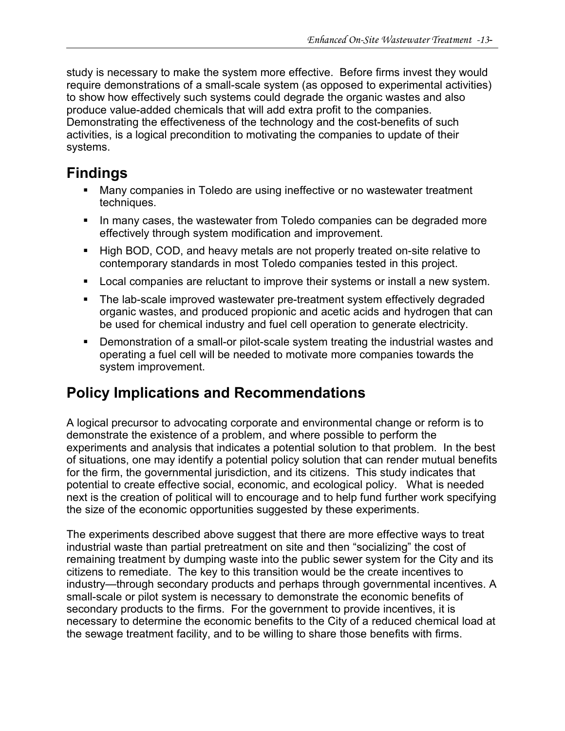study is necessary to make the system more effective. Before firms invest they would require demonstrations of a small-scale system (as opposed to experimental activities) to show how effectively such systems could degrade the organic wastes and also produce value-added chemicals that will add extra profit to the companies. Demonstrating the effectiveness of the technology and the cost-benefits of such activities, is a logical precondition to motivating the companies to update of their systems.

# **Findings**

- Many companies in Toledo are using ineffective or no wastewater treatment techniques.
- In many cases, the wastewater from Toledo companies can be degraded more effectively through system modification and improvement.
- High BOD, COD, and heavy metals are not properly treated on-site relative to contemporary standards in most Toledo companies tested in this project.
- Local companies are reluctant to improve their systems or install a new system.
- The lab-scale improved wastewater pre-treatment system effectively degraded organic wastes, and produced propionic and acetic acids and hydrogen that can be used for chemical industry and fuel cell operation to generate electricity.
- Demonstration of a small-or pilot-scale system treating the industrial wastes and operating a fuel cell will be needed to motivate more companies towards the system improvement.

# **Policy Implications and Recommendations**

A logical precursor to advocating corporate and environmental change or reform is to demonstrate the existence of a problem, and where possible to perform the experiments and analysis that indicates a potential solution to that problem. In the best of situations, one may identify a potential policy solution that can render mutual benefits for the firm, the governmental jurisdiction, and its citizens. This study indicates that potential to create effective social, economic, and ecological policy. What is needed next is the creation of political will to encourage and to help fund further work specifying the size of the economic opportunities suggested by these experiments.

The experiments described above suggest that there are more effective ways to treat industrial waste than partial pretreatment on site and then "socializing" the cost of remaining treatment by dumping waste into the public sewer system for the City and its citizens to remediate. The key to this transition would be the create incentives to industry—through secondary products and perhaps through governmental incentives. A small-scale or pilot system is necessary to demonstrate the economic benefits of secondary products to the firms. For the government to provide incentives, it is necessary to determine the economic benefits to the City of a reduced chemical load at the sewage treatment facility, and to be willing to share those benefits with firms.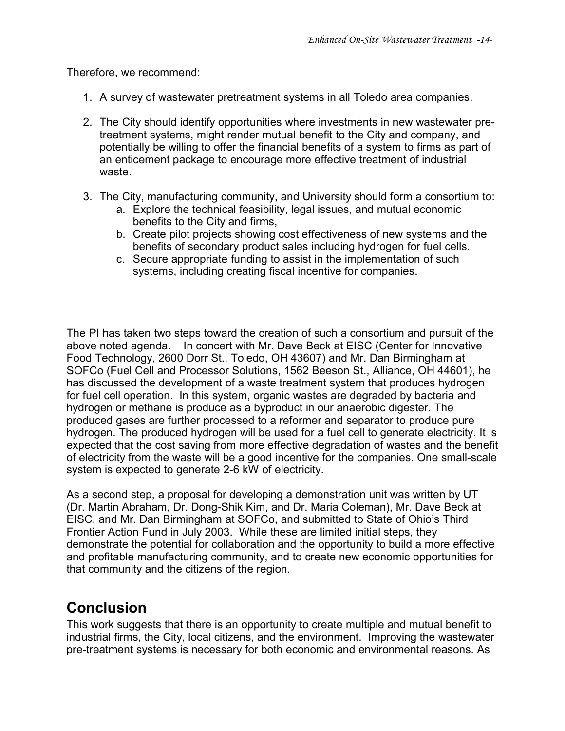Therefore, we recommend:

- 1. A survey of wastewater pretreatment systems in all Toledo area companies.
- 2. The City should identify opportunities where investments in new wastewater pretreatment systems, might render mutual benefit to the City and company, and potentially be willing to offer the financial benefits of a system to firms as part of an enticement package to encourage more effective treatment of industrial waste.
- 3. The City, manufacturing community, and University should form a consortium to:
	- a. Explore the technical feasibility, legal issues, and mutual economic benefits to the City and firms,
	- b. Create pilot projects showing cost effectiveness of new systems and the benefits of secondary product sales including hydrogen for fuel cells.
	- c. Secure appropriate funding to assist in the implementation of such systems, including creating fiscal incentive for companies.

The PI has taken two steps toward the creation of such a consortium and pursuit of the above noted agenda. In concert with Mr. Dave Beck at EISC (Center for Innovative Food Technology, 2600 Dorr St., Toledo, OH 43607) and Mr. Dan Birmingham at SOFCo (Fuel Cell and Processor Solutions, 1562 Beeson St., Alliance, OH 44601), he has discussed the development of a waste treatment system that produces hydrogen for fuel cell operation. In this system, organic wastes are degraded by bacteria and hydrogen or methane is produce as a byproduct in our anaerobic digester. The produced gases are further processed to a reformer and separator to produce pure hydrogen. The produced hydrogen will be used for a fuel cell to generate electricity. It is expected that the cost saving from more effective degradation of wastes and the benefit of electricity from the waste will be a good incentive for the companies. One small-scale system is expected to generate 2-6 kW of electricity.

As a second step, a proposal for developing a demonstration unit was written by UT (Dr. Martin Abraham, Dr. Dong-Shik Kim, and Dr. Maria Coleman), Mr. Dave Beck at EISC, and Mr. Dan Birmingham at SOFCo, and submitted to State of Ohio's Third Frontier Action Fund in July 2003. While these are limited initial steps, they demonstrate the potential for collaboration and the opportunity to build a more effective and profitable manufacturing community, and to create new economic opportunities for that community and the citizens of the region.

## **Conclusion**

This work suggests that there is an opportunity to create multiple and mutual benefit to industrial firms, the City, local citizens, and the environment. Improving the wastewater pre-treatment systems is necessary for both economic and environmental reasons. As